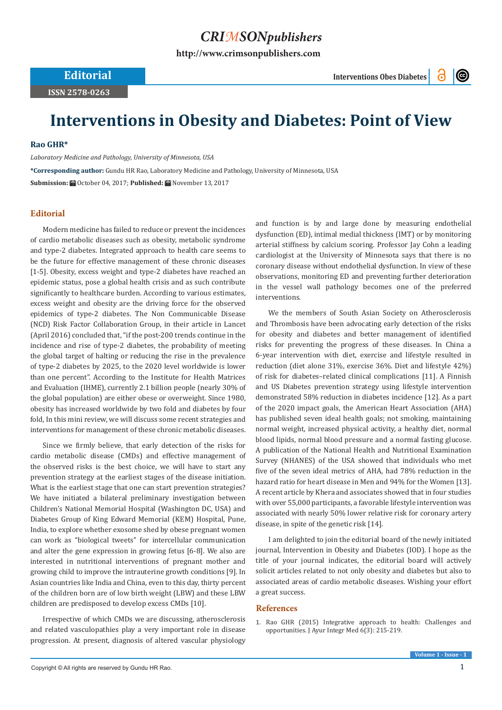## *CRIMSONpublishers*

**[http://www.crimsonpublishers.com](http://crimsonpublishers.com)**

**Editorial Interventions Obes Diabetes**

 $\odot$ 

**ISSN 2578-0263**

**Interventions in Obesity and Diabetes: Point of View**

## **Rao GHR\***

*Laboratory Medicine and Pathology, University of Minnesota, USA*

**\*Corresponding author:** Gundu HR Rao, Laboratory Medicine and Pathology, University of Minnesota, USA **Submission: Hill October 04, 2017: Published: Hill November 13, 2017** 

## **Editorial**

Modern medicine has failed to reduce or prevent the incidences of cardio metabolic diseases such as obesity, metabolic syndrome and type-2 diabetes. Integrated approach to health care seems to be the future for effective management of these chronic diseases [1-5]. Obesity, excess weight and type-2 diabetes have reached an epidemic status, pose a global health crisis and as such contribute significantly to healthcare burden. According to various estimates, excess weight and obesity are the driving force for the observed epidemics of type-2 diabetes. The Non Communicable Disease (NCD) Risk Factor Collaboration Group, in their article in Lancet (April 2016) concluded that, "if the post-200 trends continue in the incidence and rise of type-2 diabetes, the probability of meeting the global target of halting or reducing the rise in the prevalence of type-2 diabetes by 2025, to the 2020 level worldwide is lower than one percent". According to the Institute for Health Matrices and Evaluation (IHME), currently 2.1 billion people (nearly 30% of the global population) are either obese or overweight. Since 1980, obesity has increased worldwide by two fold and diabetes by four fold, In this mini review, we will discuss some recent strategies and interventions for management of these chronic metabolic diseases.

Since we firmly believe, that early detection of the risks for cardio metabolic disease (CMDs) and effective management of the observed risks is the best choice, we will have to start any prevention strategy at the earliest stages of the disease initiation. What is the earliest stage that one can start prevention strategies? We have initiated a bilateral preliminary investigation between Children's National Memorial Hospital (Washington DC, USA) and Diabetes Group of King Edward Memorial (KEM) Hospital, Pune, India, to explore whether exosome shed by obese pregnant women can work as "biological tweets" for intercellular communication and alter the gene expression in growing fetus [6-8]. We also are interested in nutritional interventions of pregnant mother and growing child to improve the intrauterine growth conditions [9]. In Asian countries like India and China, even to this day, thirty percent of the children born are of low birth weight (LBW) and these LBW children are predisposed to develop excess CMDs [10].

Irrespective of which CMDs we are discussing, atherosclerosis and related vasculopathies play a very important role in disease progression. At present, diagnosis of altered vascular physiology and function is by and large done by measuring endothelial dysfunction (ED), intimal medial thickness (IMT) or by monitoring arterial stiffness by calcium scoring. Professor Jay Cohn a leading cardiologist at the University of Minnesota says that there is no coronary disease without endothelial dysfunction. In view of these observations, monitoring ED and preventing further deterioration in the vessel wall pathology becomes one of the preferred interventions.

We the members of South Asian Society on Atherosclerosis and Thrombosis have been advocating early detection of the risks for obesity and diabetes and better management of identified risks for preventing the progress of these diseases. In China a 6-year intervention with diet, exercise and lifestyle resulted in reduction (diet alone 31%, exercise 36%. Diet and lifestyle 42%) of risk for diabetes–related clinical complications [11]. A Finnish and US Diabetes prevention strategy using lifestyle intervention demonstrated 58% reduction in diabetes incidence [12]. As a part of the 2020 impact goals, the American Heart Association (AHA) has published seven ideal health goals; not smoking, maintaining normal weight, increased physical activity, a healthy diet, normal blood lipids, normal blood pressure and a normal fasting glucose. A publication of the National Health and Nutritional Examination Survey (NHANES) of the USA showed that individuals who met five of the seven ideal metrics of AHA, had 78% reduction in the hazard ratio for heart disease in Men and 94% for the Women [13]. A recent article by Khera and associates showed that in four studies with over 55,000 participants, a favorable lifestyle intervention was associated with nearly 50% lower relative risk for coronary artery disease, in spite of the genetic risk [14].

I am delighted to join the editorial board of the newly initiated journal, Intervention in Obesity and Diabetes (IOD). I hope as the title of your journal indicates, the editorial board will actively solicit articles related to not only obesity and diabetes but also to associated areas of cardio metabolic diseases. Wishing your effort a great success.

## **References**

1. [Rao GHR \(2015\) Integrative approach to health: Challenges and](https://www.ncbi.nlm.nih.gov/pubmed/26604560) [opportunities. J Ayur Integr Med 6\(3\): 215-219.](https://www.ncbi.nlm.nih.gov/pubmed/26604560)